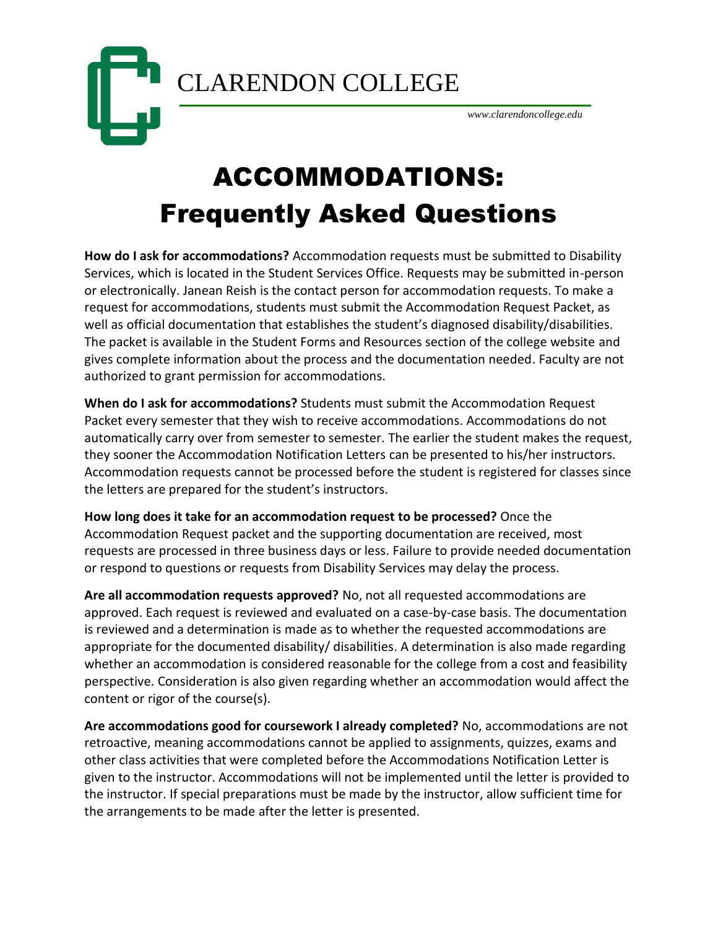CLARENDON COLLEGE



*www.clarendoncollege.edu*

## ACCOMMODATIONS: Frequently Asked Questions

**How do I ask for accommodations?** Accommodation requests must be submitted to Disability Services, which is located in the Student Services Office. Requests may be submitted in-person or electronically. Janean Reish is the contact person for accommodation requests. To make a request for accommodations, students must submit the Accommodation Request Packet, as well as official documentation that establishes the student's diagnosed disability/disabilities. The packet is available in the Student Forms and Resources section of the college website and gives complete information about the process and the documentation needed. Faculty are not authorized to grant permission for accommodations.

**When do I ask for accommodations?** Students must submit the Accommodation Request Packet every semester that they wish to receive accommodations. Accommodations do not automatically carry over from semester to semester. The earlier the student makes the request, they sooner the Accommodation Notification Letters can be presented to his/her instructors. Accommodation requests cannot be processed before the student is registered for classes since the letters are prepared for the student's instructors.

**How long does it take for an accommodation request to be processed?** Once the Accommodation Request packet and the supporting documentation are received, most requests are processed in three business days or less. Failure to provide needed documentation or respond to questions or requests from Disability Services may delay the process.

**Are all accommodation requests approved?** No, not all requested accommodations are approved. Each request is reviewed and evaluated on a case-by-case basis. The documentation is reviewed and a determination is made as to whether the requested accommodations are appropriate for the documented disability/ disabilities. A determination is also made regarding whether an accommodation is considered reasonable for the college from a cost and feasibility perspective. Consideration is also given regarding whether an accommodation would affect the content or rigor of the course(s).

**Are accommodations good for coursework I already completed?** No, accommodations are not retroactive, meaning accommodations cannot be applied to assignments, quizzes, exams and other class activities that were completed before the Accommodations Notification Letter is given to the instructor. Accommodations will not be implemented until the letter is provided to the instructor. If special preparations must be made by the instructor, allow sufficient time for the arrangements to be made after the letter is presented.